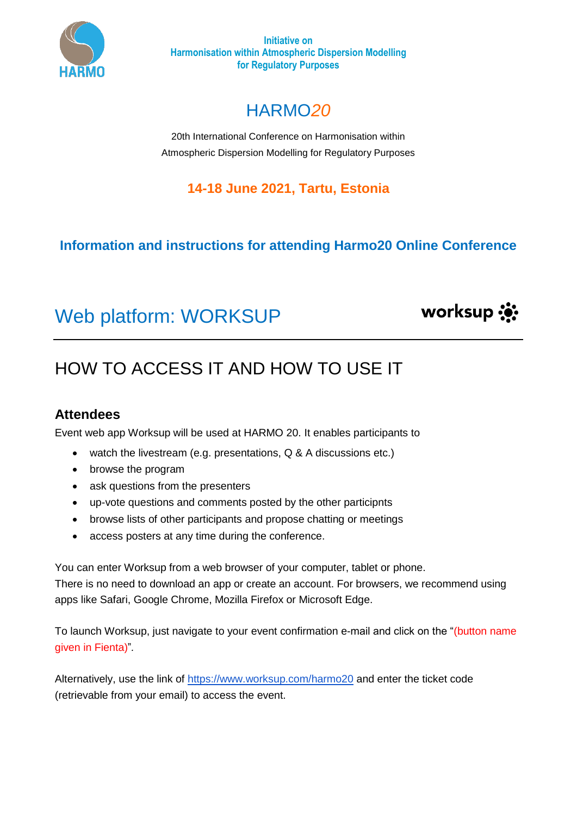

**Initiative on Harmonisation within Atmospheric Dispersion Modelling for Regulatory Purposes**

# HARMO*20*

20th International Conference on Harmonisation within Atmospheric Dispersion Modelling for Regulatory Purposes

### **14-18 June 2021, Tartu, Estonia**

### **Information and instructions for attending Harmo20 Online Conference**

# Web platform: WORKSUP



# HOW TO ACCESS IT AND HOW TO USE IT

#### **Attendees**

Event web app Worksup will be used at HARMO 20. It enables participants to

- watch the livestream (e.g. presentations, Q & A discussions etc.)
- browse the program
- ask questions from the presenters
- up-vote questions and comments posted by the other participnts
- browse lists of other participants and propose chatting or meetings
- access posters at any time during the conference.

You can enter Worksup from a web browser of your computer, tablet or phone. There is no need to download an app or create an account. For browsers, we recommend using apps like Safari, Google Chrome, Mozilla Firefox or Microsoft Edge.

To launch Worksup, just navigate to your event confirmation e-mail and click on the "(button name given in Fienta)"*.*

Alternatively, use the link of<https://www.worksup.com/harmo20> and enter the ticket code (retrievable from your email) to access the event.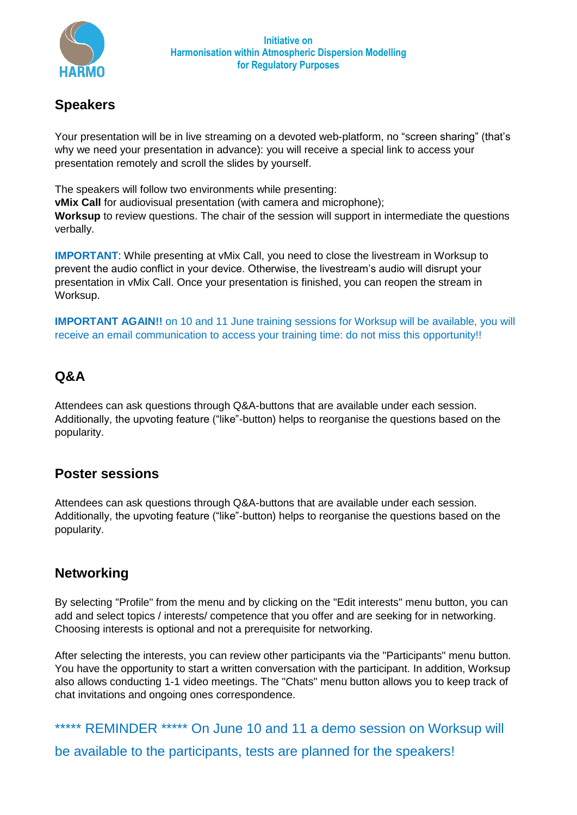

#### **Speakers**

Your presentation will be in live streaming on a devoted web-platform, no "screen sharing" (that's why we need your presentation in advance): you will receive a special link to access your presentation remotely and scroll the slides by yourself.

The speakers will follow two environments while presenting: **vMix Call** for audiovisual presentation (with camera and microphone); **Worksup** to review questions. The chair of the session will support in intermediate the questions verbally.

**IMPORTANT**: While presenting at vMix Call, you need to close the livestream in Worksup to prevent the audio conflict in your device. Otherwise, the livestream's audio will disrupt your presentation in vMix Call. Once your presentation is finished, you can reopen the stream in Worksup.

**IMPORTANT AGAIN!!** on 10 and 11 June training sessions for Worksup will be available, you will receive an email communication to access your training time: do not miss this opportunity!!

#### **Q&A**

Attendees can ask questions through Q&A-buttons that are available under each session. Additionally, the upvoting feature ("like"-button) helps to reorganise the questions based on the popularity.

#### **Poster sessions**

Attendees can ask questions through Q&A-buttons that are available under each session. Additionally, the upvoting feature ("like"-button) helps to reorganise the questions based on the popularity.

#### **Networking**

By selecting "Profile" from the menu and by clicking on the "Edit interests" menu button, you can add and select topics / interests/ competence that you offer and are seeking for in networking. Choosing interests is optional and not a prerequisite for networking.

After selecting the interests, you can review other participants via the "Participants" menu button. You have the opportunity to start a written conversation with the participant. In addition, Worksup also allows conducting 1-1 video meetings. The "Chats" menu button allows you to keep track of chat invitations and ongoing ones correspondence.

\*\*\*\*\* REMINDER \*\*\*\*\* On June 10 and 11 a demo session on Worksup will be available to the participants, tests are planned for the speakers!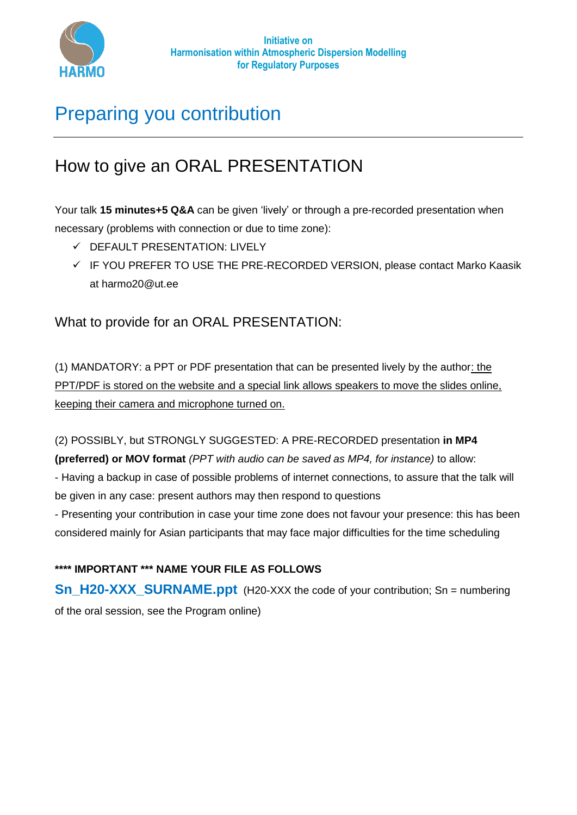

# Preparing you contribution

## How to give an ORAL PRESENTATION

Your talk **15 minutes+5 Q&A** can be given 'lively' or through a pre-recorded presentation when necessary (problems with connection or due to time zone):

- $\checkmark$  DEFAULT PRESENTATION: LIVELY
- $\checkmark$  IF YOU PREFER TO USE THE PRE-RECORDED VERSION, please contact Marko Kaasik at harmo20@ut.ee

What to provide for an ORAL PRESENTATION:

(1) MANDATORY: a PPT or PDF presentation that can be presented lively by the author: the PPT/PDF is stored on the website and a special link allows speakers to move the slides online, keeping their camera and microphone turned on.

(2) POSSIBLY, but STRONGLY SUGGESTED: A PRE-RECORDED presentation **in MP4** 

**(preferred) or MOV format** *(PPT with audio can be saved as MP4, for instance)* to allow:

- Having a backup in case of possible problems of internet connections, to assure that the talk will be given in any case: present authors may then respond to questions

- Presenting your contribution in case your time zone does not favour your presence: this has been considered mainly for Asian participants that may face major difficulties for the time scheduling

#### **\*\*\*\* IMPORTANT \*\*\* NAME YOUR FILE AS FOLLOWS**

**Sn\_H20-XXX\_SURNAME.ppt** (H20-XXX the code of your contribution; Sn = numbering of the oral session, see the Program online)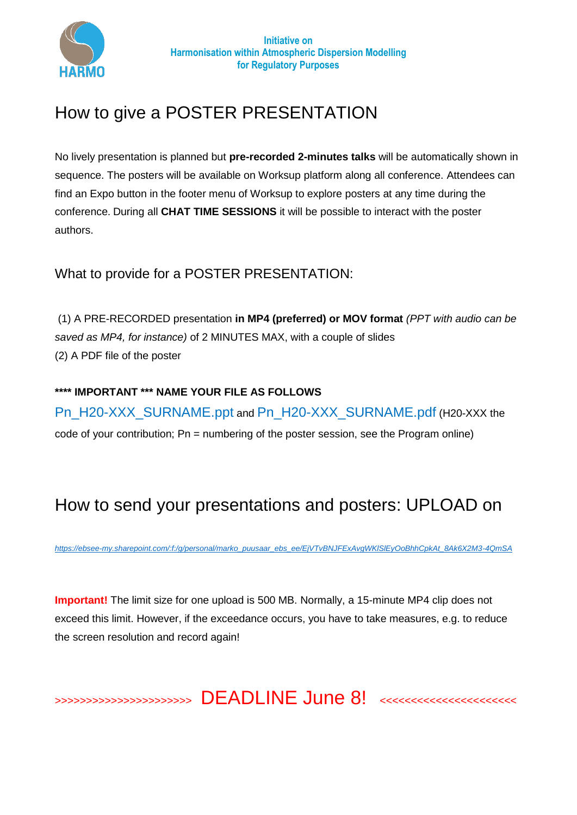

## How to give a POSTER PRESENTATION

No lively presentation is planned but **pre-recorded 2-minutes talks** will be automatically shown in sequence. The posters will be available on Worksup platform along all conference. Attendees can find an Expo button in the footer menu of Worksup to explore posters at any time during the conference. During all **CHAT TIME SESSIONS** it will be possible to interact with the poster authors.

What to provide for a POSTER PRESENTATION:

(1) A PRE-RECORDED presentation **in MP4 (preferred) or MOV format** *(PPT with audio can be saved as MP4, for instance)* of 2 MINUTES MAX, with a couple of slides (2) A PDF file of the poster

**\*\*\*\* IMPORTANT \*\*\* NAME YOUR FILE AS FOLLOWS** Pn\_H20-XXX\_SURNAME.ppt and Pn\_H20-XXX\_SURNAME.pdf (H20-XXX the code of your contribution; Pn = numbering of the poster session, see the Program online)

# How to send your presentations and posters: UPLOAD on

*[https://ebsee-my.sharepoint.com/:f:/g/personal/marko\\_puusaar\\_ebs\\_ee/EjVTvBNJFExAvgWKlSlEyOoBhhCpkAt\\_8Ak6X2M3-4QmSA](https://ebsee-my.sharepoint.com/:f:/g/personal/marko_puusaar_ebs_ee/EjVTvBNJFExAvgWKlSlEyOoBhhCpkAt_8Ak6X2M3-4QmSA)*

**Important!** The limit size for one upload is 500 MB. Normally, a 15-minute MP4 clip does not exceed this limit. However, if the exceedance occurs, you have to take measures, e.g. to reduce the screen resolution and record again!

>>>>>>>>>>>>>>>>>>>>>> DEADLINE June 8! <<<<<<<<<<<<<<<<<<<<<<